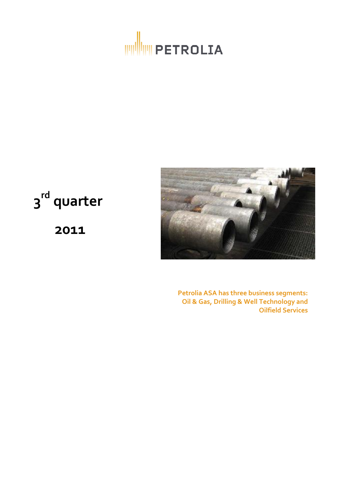



**3 rd quarter**

**2011**

**Petrolia ASA has three business segments: Oil & Gas, Drilling & Well Technology and Oilfield Services**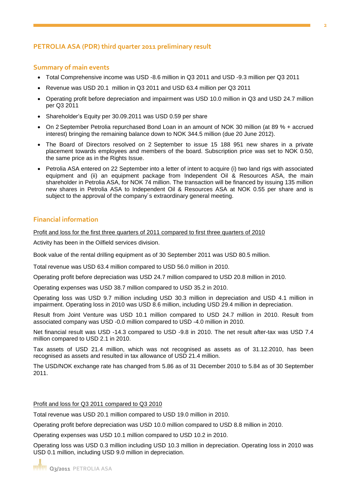## **PETROLIA ASA (PDR) third quarter 2011 preliminary result**

## **Summary of main events**

- Total Comprehensive income was USD -8.6 million in Q3 2011 and USD -9.3 million per Q3 2011
- Revenue was USD 20.1 million in Q3 2011 and USD 63.4 million per Q3 2011
- Operating profit before depreciation and impairment was USD 10.0 million in Q3 and USD 24.7 million per Q3 2011
- Shareholder's Equity per 30.09.2011 was USD 0.59 per share
- On 2 September Petrolia repurchased Bond Loan in an amount of NOK 30 million (at 89 % + accrued interest) bringing the remaining balance down to NOK 344.5 million (due 20 June 2012).
- The Board of Directors resolved on 2 September to issue 15 188 951 new shares in a private placement towards employees and members of the board. Subscription price was set to NOK 0.50, the same price as in the Rights Issue.
- Petrolia ASA entered on 22 September into a letter of intent to acquire (i) two land rigs with associated equipment and (ii) an equipment package from Independent Oil & Resources ASA, the main shareholder in Petrolia ASA, for NOK 74 million. The transaction will be financed by issuing 135 million new shares in Petrolia ASA to Independent Oil & Resources ASA at NOK 0.55 per share and is subject to the approval of the company's extraordinary general meeting.

## **Financial information**

Profit and loss for the first three quarters of 2011 compared to first three quarters of 2010

Activity has been in the Oilfield services division.

Book value of the rental drilling equipment as of 30 September 2011 was USD 80.5 million.

Total revenue was USD 63.4 million compared to USD 56.0 million in 2010.

Operating profit before depreciation was USD 24.7 million compared to USD 20.8 million in 2010.

Operating expenses was USD 38.7 million compared to USD 35.2 in 2010.

Operating loss was USD 9.7 million including USD 30.3 million in depreciation and USD 4.1 million in impairment. Operating loss in 2010 was USD 8.6 million, including USD 29.4 million in depreciation.

Result from Joint Venture was USD 10.1 million compared to USD 24.7 million in 2010. Result from associated company was USD -0.0 million compared to USD -4.0 million in 2010.

Net financial result was USD -14.3 compared to USD -9.8 in 2010. The net result after-tax was USD 7.4 million compared to USD 2.1 in 2010.

Tax assets of USD 21.4 million, which was not recognised as assets as of 31.12.2010, has been recognised as assets and resulted in tax allowance of USD 21.4 million.

The USD/NOK exchange rate has changed from 5.86 as of 31 December 2010 to 5.84 as of 30 September 2011.

Profit and loss for Q3 2011 compared to Q3 2010

Total revenue was USD 20.1 million compared to USD 19.0 million in 2010.

Operating profit before depreciation was USD 10.0 million compared to USD 8.8 million in 2010.

Operating expenses was USD 10.1 million compared to USD 10.2 in 2010.

Operating loss was USD 0.3 million including USD 10.3 million in depreciation. Operating loss in 2010 was USD 0.1 million, including USD 9.0 million in depreciation.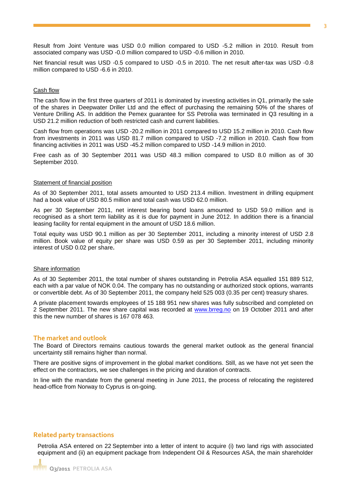Result from Joint Venture was USD 0.0 million compared to USD -5.2 million in 2010. Result from associated company was USD -0.0 million compared to USD -0.6 million in 2010.

Net financial result was USD -0.5 compared to USD -0.5 in 2010. The net result after-tax was USD -0.8 million compared to USD -6.6 in 2010.

#### Cash flow

The cash flow in the first three quarters of 2011 is dominated by investing activities in Q1, primarily the sale of the shares in Deepwater Driller Ltd and the effect of purchasing the remaining 50% of the shares of Venture Drilling AS. In addition the Pemex guarantee for SS Petrolia was terminated in Q3 resulting in a USD 21.2 million reduction of both restricted cash and current liabilities.

Cash flow from operations was USD -20.2 million in 2011 compared to USD 15.2 million in 2010. Cash flow from investments in 2011 was USD 81.7 million compared to USD -7.2 million in 2010. Cash flow from financing activities in 2011 was USD -45.2 million compared to USD -14.9 million in 2010.

Free cash as of 30 September 2011 was USD 48.3 million compared to USD 8.0 million as of 30 September 2010.

#### Statement of financial position

As of 30 September 2011, total assets amounted to USD 213.4 million. Investment in drilling equipment had a book value of USD 80.5 million and total cash was USD 62.0 million.

As per 30 September 2011, net interest bearing bond loans amounted to USD 59.0 million and is recognised as a short term liability as it is due for payment in June 2012. In addition there is a financial leasing facility for rental equipment in the amount of USD 18.6 million.

Total equity was USD 90.1 million as per 30 September 2011, including a minority interest of USD 2.8 million. Book value of equity per share was USD 0.59 as per 30 September 2011, including minority interest of USD 0.02 per share**.** 

#### Share information

As of 30 September 2011, the total number of shares outstanding in Petrolia ASA equalled 151 889 512, each with a par value of NOK 0.04. The company has no outstanding or authorized stock options, warrants or convertible debt. As of 30 September 2011, the company held 525 003 (0.35 per cent) treasury shares.

A private placement towards employees of 15 188 951 new shares was fully subscribed and completed on 2 September 2011. The new share capital was recorded at [www.brreg.no](http://www.brreg.no/) on 19 October 2011 and after this the new number of shares is 167 078 463.

#### **The market and outlook**

The Board of Directors remains cautious towards the general market outlook as the general financial uncertainty still remains higher than normal.

There are positive signs of improvement in the global market conditions. Still, as we have not yet seen the effect on the contractors, we see challenges in the pricing and duration of contracts.

In line with the mandate from the general meeting in June 2011, the process of relocating the registered head-office from Norway to Cyprus is on-going.

#### **Related party transactions**

Petrolia ASA entered on 22 September into a letter of intent to acquire (i) two land rigs with associated equipment and (ii) an equipment package from Independent Oil & Resources ASA, the main shareholder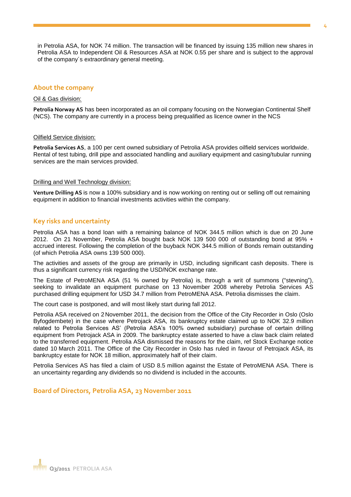in Petrolia ASA, for NOK 74 million. The transaction will be financed by issuing 135 million new shares in Petrolia ASA to Independent Oil & Resources ASA at NOK 0.55 per share and is subject to the approval of the company´s extraordinary general meeting.

## **About the company**

#### Oil & Gas division:

**Petrolia Norway AS** has been incorporated as an oil company focusing on the Norwegian Continental Shelf (NCS). The company are currently in a process being prequalified as licence owner in the NCS

#### Oilfield Service division:

**Petrolia Services AS**, a 100 per cent owned subsidiary of Petrolia ASA provides oilfield services worldwide. Rental of test tubing, drill pipe and associated handling and auxiliary equipment and casing/tubular running services are the main services provided.

#### Drilling and Well Technology division:

**Venture Drilling AS** is now a 100% subsidiary and is now working on renting out or selling off out remaining equipment in addition to financial investments activities within the company.

## **Key risks and uncertainty**

Petrolia ASA has a bond loan with a remaining balance of NOK 344.5 million which is due on 20 June 2012. On 21 November, Petrolia ASA bought back NOK 139 500 000 of outstanding bond at 95% + accrued interest. Following the completion of the buyback NOK 344.5 million of Bonds remain outstanding (of which Petrolia ASA owns 139 500 000).

The activities and assets of the group are primarily in USD, including significant cash deposits. There is thus a significant currency risk regarding the USD/NOK exchange rate.

The Estate of PetroMENA ASA (51 % owned by Petrolia) is, through a writ of summons ("stevning"), seeking to invalidate an equipment purchase on 13 November 2008 whereby Petrolia Services AS purchased drilling equipment for USD 34.7 million from PetroMENA ASA. Petrolia dismisses the claim.

The court case is postponed, and will most likely start during fall 2012.

Petrolia ASA received on 2 November 2011, the decision from the Office of the City Recorder in Oslo (Oslo Byfogdembete) in the case where Petrojack ASA, its bankruptcy estate claimed up to NOK 32.9 million related to Petrolia Services AS' (Petrolia ASA's 100% owned subsidiary) purchase of certain drilling equipment from Petrojack ASA in 2009. The bankruptcy estate asserted to have a claw back claim related to the transferred equipment. Petrolia ASA dismissed the reasons for the claim, ref Stock Exchange notice dated 10 March 2011. The Office of the City Recorder in Oslo has ruled in favour of Petrojack ASA, its bankruptcy estate for NOK 18 million, approximately half of their claim.

Petrolia Services AS has filed a claim of USD 8.5 million against the Estate of PetroMENA ASA. There is an uncertainty regarding any dividends so no dividend is included in the accounts.

## **Board of Directors, Petrolia ASA, 23 November 2011**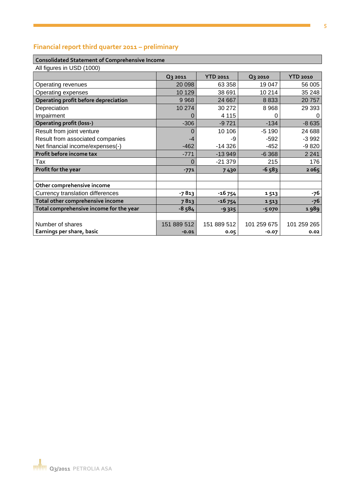# **Financial report third quarter 2011 – preliminary**

#### **Consolidated Statement of Comprehensive Income**

| All figures in USD (1000)               |             |                 |                |                 |
|-----------------------------------------|-------------|-----------------|----------------|-----------------|
|                                         | Q3 2011     | <b>YTD 2011</b> | <b>Q3 2010</b> | <b>YTD 2010</b> |
| Operating revenues                      | 20 098      | 63 358          | 19 047         | 56 005          |
| Operating expenses                      | 10 129      | 38 691          | 10 214         | 35 248          |
| Operating profit before depreciation    | 9 9 6 8     | 24 667          | 8833           | 20757           |
| Depreciation                            | 10 274      | 30 27 2         | 8968           | 29 3 9 3        |
| Impairment                              |             | 4 1 1 5         | 0              | 0               |
| <b>Operating profit (loss-)</b>         | $-306$      | $-9721$         | $-134$         | $-8635$         |
| Result from joint venture               | $\Omega$    | 10 10 6         | $-5190$        | 24 688          |
| Result from associated companies        | -4          | -9              | $-592$         | $-3992$         |
| Net financial income/expenses(-)        | $-462$      | $-14326$        | $-452$         | $-9820$         |
| Profit before income tax                | $-771$      | $-13949$        | $-6368$        | 2 2 4 1         |
| Tax                                     | 0           | $-21379$        | 215            | 176             |
| Profit for the year                     | $-771$      | 7430            | $-6583$        | 2065            |
|                                         |             |                 |                |                 |
| Other comprehensive income              |             |                 |                |                 |
| Currency translation differences        | $-7813$     | $-16754$        | 1513           | -76             |
| Total other comprehensive income        | 7813        | $-16754$        | 1513           | $-76$           |
| Total comprehensive income for the year | $-8,584$    | $-9325$         | $-5070$        | 1989            |
|                                         |             |                 |                |                 |
| Number of shares                        | 151 889 512 | 151 889 512     | 101 259 675    | 101 259 265     |
| Earnings per share, basic               | $-0.01$     | 0.05            | $-0.07$        | 0.02            |

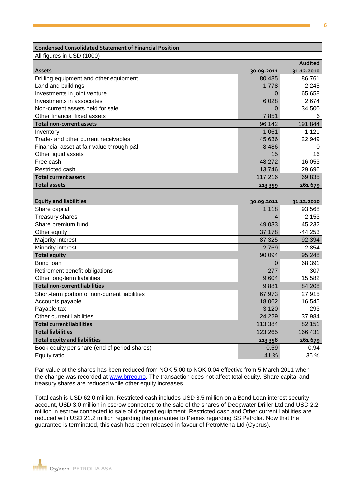### **Condensed Consolidated Statement of Financial Position**

All figures in USD (1000)

|                                               |            | Audited    |
|-----------------------------------------------|------------|------------|
| <b>Assets</b>                                 | 30.09.2011 | 31.12.2010 |
| Drilling equipment and other equipment        | 80 4 85    | 86 761     |
| Land and buildings                            | 1 7 7 8    | 2 2 4 5    |
| Investments in joint venture                  | O          | 65 658     |
| Investments in associates                     | 6028       | 2674       |
| Non-current assets held for sale              | 0          | 34 500     |
| Other financial fixed assets                  | 7851       | 6          |
| <b>Total non-current assets</b>               | 96 142     | 191 844    |
| Inventory                                     | 1 0 6 1    | 1 1 2 1    |
| Trade- and other current receivables          | 45 636     | 22 949     |
| Financial asset at fair value through p&l     | 8486       | 0          |
| Other liquid assets                           | 15         | 16         |
| Free cash                                     | 48 272     | 16 053     |
| Restricted cash                               | 13746      | 29 6 9 6   |
| Total current assets                          | 117 216    | 69835      |
| <b>Total assets</b>                           | 213 359    | 261679     |
|                                               |            |            |
| <b>Equity and liabilities</b>                 | 30.09.2011 | 31.12.2010 |
| Share capital                                 | 1 1 1 8    | 93 5 68    |
| <b>Treasury shares</b>                        | -4         | $-2153$    |
| Share premium fund                            | 49 033     | 45 232     |
| Other equity                                  | 37 178     | $-44253$   |
| Majority interest                             | 87 325     | 92 3 94    |
| Minority interest                             | 2769       | 2 8 5 4    |
| <b>Total equity</b>                           | 90 094     | 95 248     |
| Bond loan                                     | 0          | 68 391     |
| Retirement benefit obligations                | 277        | 307        |
| Other long-term liabilities                   | 9604       | 15 5 82    |
| <b>Total non-current liabilities</b>          | 9881       | 84 208     |
| Short-term portion of non-current liabilities | 67973      | 27915      |
| Accounts payable                              | 18 062     | 16 545     |
| Payable tax                                   | 3 1 2 0    | $-293$     |
| Other current liabilities                     | 24 2 29    | 37 984     |
| <b>Total current liabilities</b>              | 113 384    | 82 151     |
| <b>Total liabilities</b>                      | 123 265    | 166 431    |
| <b>Total equity and liabilities</b>           | 213 358    | 261679     |
| Book equity per share (end of period shares)  | 0.59       | 0.94       |
| Equity ratio                                  | 41 %       | 35 %       |

Par value of the shares has been reduced from NOK 5.00 to NOK 0.04 effective from 5 March 2011 when the change was recorded at [www.brreg.no.](http://www.brreg.no/) The transaction does not affect total equity. Share capital and treasury shares are reduced while other equity increases.

Total cash is USD 62.0 million. Restricted cash includes USD 8.5 million on a Bond Loan interest security account, USD 3.0 million in escrow connected to the sale of the shares of Deepwater Driller Ltd and USD 2.2 million in escrow connected to sale of disputed equipment. Restricted cash and Other current liabilities are reduced with USD 21.2 million regarding the guarantee to Pemex regarding SS Petrolia. Now that the guarantee is terminated, this cash has been released in favour of PetroMena Ltd (Cyprus).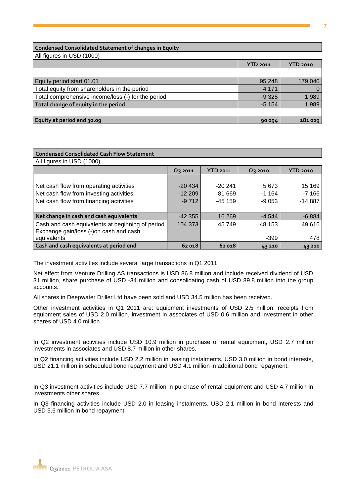### **Condensed Consolidated Statement of changes in Equity**

All figures in USD (1000)

|                                                    | <b>YTD 2011</b> | <b>YTD 2010</b> |
|----------------------------------------------------|-----------------|-----------------|
|                                                    |                 |                 |
| Equity period start 01.01                          | 95 248          | 179 040         |
| Total equity from shareholders in the period       | 4 1 7 1         | $\Omega$        |
| Total comprehensive income/loss (-) for the period | $-9325$         | 1989            |
| Total change of equity in the period               | $-5154$         | 1989            |
|                                                    |                 |                 |
| Equity at period end 30.09                         | 90 094          | 181029          |

| <b>Condensed Consolidated Cash Flow Statement</b> |          |                 |          |                 |
|---------------------------------------------------|----------|-----------------|----------|-----------------|
| All figures in USD (1000)                         |          |                 |          |                 |
|                                                   | Q3 2011  | <b>YTD 2011</b> | Q3 2010  | <b>YTD 2010</b> |
|                                                   |          |                 |          |                 |
| Net cash flow from operating activities           | $-20434$ | $-20241$        | 5673     | 15 169          |
| Net cash flow from investing activities           | $-12209$ | 81 669          | $-1.164$ | $-7166$         |
| Net cash flow from financing activities           | $-9712$  | $-45159$        | $-9053$  | $-14887$        |
|                                                   |          |                 |          |                 |
| Net change in cash and cash equivalents           | -42 355  | 16 269          | $-4544$  | $-6884$         |
| Cash and cash equivalents at beginning of period  | 104 373  | 45 749          | 48 153   | 49 616          |
| Exchange gain/loss (-)on cash and cash            |          |                 |          |                 |
| equivalents                                       |          |                 | -399     | 478             |
| Cash and cash equivalents at period end           | 62 018   | 62 018          | 43210    | 43210           |

The investment activities include several large transactions in Q1 2011.

Net effect from Venture Drilling AS transactions is USD 86.8 million and include received dividend of USD 31 million, share purchase of USD -34 million and consolidating cash of USD 89.8 million into the group accounts.

All shares in Deepwater Driller Ltd have been sold and USD 34.5 million has been received.

Other investment activities in Q1 2011 are: equipment investments of USD 2.5 million, receipts from equipment sales of USD 2.0 million, investment in associates of USD 0.6 million and investment in other shares of USD 4.0 million.

In Q2 investment activities include USD 10.9 million in purchase of rental equipment, USD 2.7 million investments in associates and USD 8.7 million in other shares.

In Q2 financing activities include USD 2.2 million in leasing instalments, USD 3.0 million in bond interests, USD 21.1 million in scheduled bond repayment and USD 4.1 million in additional bond repayment.

In Q3 investment activities include USD 7.7 million in purchase of rental equipment and USD 4.7 million in investments other shares.

In Q3 financing activities include USD 2.0 in leasing instalments, USD 2.1 million in bond interests and USD 5.6 million in bond repayment.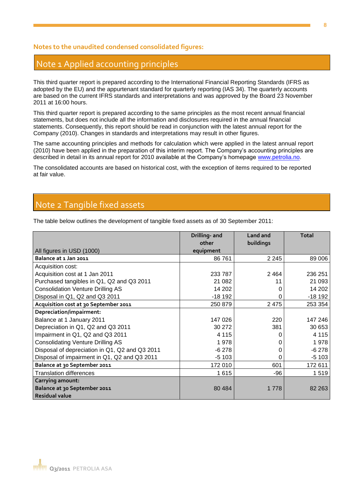## **Notes to the unaudited condensed consolidated figures:**

## Note 1 Applied accounting principles

This third quarter report is prepared according to the International Financial Reporting Standards (IFRS as adopted by the EU) and the appurtenant standard for quarterly reporting (IAS 34). The quarterly accounts are based on the current IFRS standards and interpretations and was approved by the Board 23 November 2011 at 16:00 hours.

This third quarter report is prepared according to the same principles as the most recent annual financial statements, but does not include all the information and disclosures required in the annual financial statements. Consequently, this report should be read in conjunction with the latest annual report for the Company (2010). Changes in standards and interpretations may result in other figures.

The same accounting principles and methods for calculation which were applied in the latest annual report (2010) have been applied in the preparation of this interim report. The Company's accounting principles are described in detail in its annual report for 2010 available at the Company's homepage [www.petrolia.no.](http://www.petrolia.no/)

The consolidated accounts are based on historical cost, with the exception of items required to be reported at fair value.

## Note 2 Tangible fixed assets

The table below outlines the development of tangible fixed assets as of 30 September 2011:

|                                                | Drilling- and | <b>Land and</b> | <b>Total</b> |
|------------------------------------------------|---------------|-----------------|--------------|
|                                                | other         | buildings       |              |
| All figures in USD (1000)                      | equipment     |                 |              |
| Balance at 1 Jan 2011                          | 86761         | 2 2 4 5         | 89 006       |
| Acquisition cost:                              |               |                 |              |
| Acquisition cost at 1 Jan 2011                 | 233 787       | 2464            | 236 251      |
| Purchased tangibles in Q1, Q2 and Q3 2011      | 21 082        | 11              | 21 093       |
| <b>Consolidation Venture Drilling AS</b>       | 14 202        | 0               | 14 202       |
| Disposal in Q1, Q2 and Q3 2011                 | $-18192$      | 0               | $-18192$     |
| Acquisition cost at 30 September 2011          | 250 879       | 2 4 7 5         | 253 354      |
| Depreciation/impairment:                       |               |                 |              |
| Balance at 1 January 2011                      | 147 026       | 220             | 147 246      |
| Depreciation in Q1, Q2 and Q3 2011             | 30 272        | 381             | 30 653       |
| Impairment in Q1, Q2 and Q3 2011               | 4 1 1 5       |                 | 4 1 1 5      |
| <b>Consolidating Venture Drilling AS</b>       | 1978          | 0               | 1978         |
| Disposal of depreciation in Q1, Q2 and Q3 2011 | $-6278$       | 0               | $-6278$      |
| Disposal of impairment in Q1, Q2 and Q3 2011   | $-5103$       | 0               | $-5103$      |
| Balance at 30 September 2011                   | 172 010       | 601             | 172 611      |
| <b>Translation differences</b>                 | 1615          | -96             | 1519         |
| Carrying amount:                               |               |                 |              |
| Balance at 30 September 2011                   | 80 4 84       | 1 7 7 8         | 82 263       |
| <b>Residual value</b>                          |               |                 |              |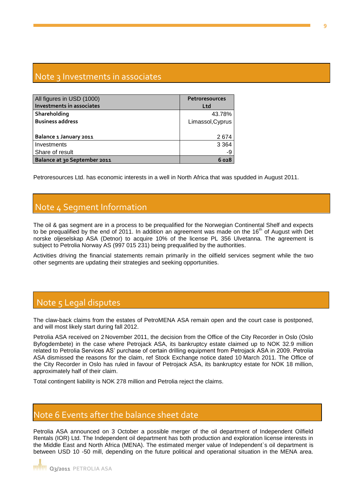# Note 3 Investments in associates

| All figures in USD (1000)<br>Investments in associates | <b>Petroresources</b><br>Ltd |
|--------------------------------------------------------|------------------------------|
| Shareholding                                           | 43.78%                       |
| <b>Business address</b>                                | Limassol, Cyprus             |
|                                                        |                              |
| Balance 1 January 2011                                 | 2674                         |
| Investments                                            | 3 3 6 4                      |
| Share of result                                        | -9                           |
| Balance at 30 September 2011                           | 6028                         |

Petroresources Ltd. has economic interests in a well in North Africa that was spudded in August 2011.

## Note 4 Segment Information

The oil & gas segment are in a process to be prequalified for the Norwegian Continental Shelf and expects to be prequalified by the end of 2011. In addition an agreement was made on the  $16<sup>th</sup>$  of August with Det norske oljeselskap ASA (Detnor) to acquire 10% of the license PL 356 Ulvetanna. The agreement is subject to Petrolia Norway AS (997 015 231) being prequalified by the authorities.

Activities driving the financial statements remain primarily in the oilfield services segment while the two other segments are updating their strategies and seeking opportunities.

# Note 5 Legal disputes

The claw-back claims from the estates of PetroMENA ASA remain open and the court case is postponed, and will most likely start during fall 2012.

Petrolia ASA received on 2 November 2011, the decision from the Office of the City Recorder in Oslo (Oslo Byfogdembete) in the case where Petrojack ASA, its bankruptcy estate claimed up to NOK 32.9 million related to Petrolia Services AS' purchase of certain drilling equipment from Petrojack ASA in 2009. Petrolia ASA dismissed the reasons for the claim, ref Stock Exchange notice dated 10 March 2011. The Office of the City Recorder in Oslo has ruled in favour of Petrojack ASA, its bankruptcy estate for NOK 18 million, approximately half of their claim.

Total contingent liability is NOK 278 million and Petrolia reject the claims.

## Note 6 Events after the balance sheet date

Petrolia ASA announced on 3 October a possible merger of the oil department of Independent Oilfield Rentals (IOR) Ltd. The Independent oil department has both production and exploration license interests in the Middle East and North Africa (MENA). The estimated merger value of Independent`s oil department is between USD 10 -50 mill, depending on the future political and operational situation in the MENA area.